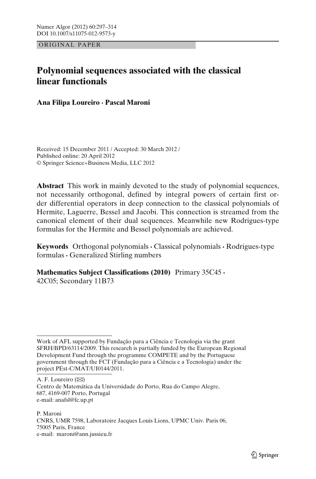ORIGINAL PAPER

# **Polynomial sequences associated with the classical linear functionals**

**Ana Filipa Loureiro · Pascal Maroni**

Received: 15 December 2011 / Accepted: 30 March 2012 / Published online: 20 April 2012 © Springer Science+Business Media, LLC 2012

**Abstract** This work in mainly devoted to the study of polynomial sequences, not necessarily orthogonal, defined by integral powers of certain first order differential operators in deep connection to the classical polynomials of Hermite, Laguerre, Bessel and Jacobi. This connection is streamed from the canonical element of their dual sequences. Meanwhile new Rodrigues-type formulas for the Hermite and Bessel polynomials are achieved.

**Keywords** Orthogonal polynomials **·** Classical polynomials **·** Rodrigues-type formulas **·** Generalized Stirling numbers

**Mathematics Subject Classifications (2010)** Primary 35C45 **·**

42C05; Secondary 11B73

A. F. Loureiro (⊠) Centro de Matemática da Universidade do Porto, Rua do Campo Alegre, 687, 4169-007 Porto, Portugal e-mail: anafsl@fc.up.pt

P. Maroni CNRS, UMR 7598, Laboratoire Jacques Louis Lions, UPMC Univ. Paris 06, 75005 Paris, France e-mail: maroni@ann.jussieu.fr

Work of AFL supported by Fundação para a Ciência e Tecnologia via the grant SFRH/BPD/63114/2009. This research is partially funded by the European Regional Development Fund through the programme COMPETE and by the Portuguese government through the FCT (Fundação para a Ciência e a Tecnologia) under the project PEst-C/MAT/UI0144/2011.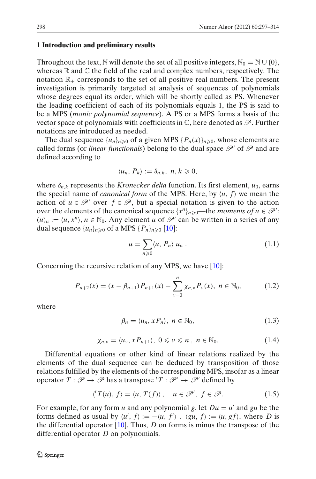#### <span id="page-1-0"></span>**1 Introduction and preliminary results**

Throughout the text, N will denote the set of all positive integers,  $N_0 = N \cup \{0\}$ , whereas  $\mathbb R$  and  $\mathbb C$  the field of the real and complex numbers, respectively. The notation  $\mathbb{R}_+$  corresponds to the set of all positive real numbers. The present investigation is primarily targeted at analysis of sequences of polynomials whose degrees equal its order, which will be shortly called as PS. Whenever the leading coefficient of each of its polynomials equals 1, the PS is said to be a MPS (*monic polynomial sequence*). A PS or a MPS forms a basis of the vector space of polynomials with coefficients in  $\mathbb{C}$ , here denoted as  $\mathscr{P}$ . Further notations are introduced as needed.

The dual sequence  $\{u_n\}_{n\geq 0}$  of a given MPS  $\{P_n(x)\}_{n\geq 0}$ , whose elements are called forms (or *linear functionals*) belong to the dual space  $\mathcal{P}'$  of  $\mathcal{P}$  and are defined according to

$$
\langle u_n, P_k \rangle := \delta_{n,k}, \ n, k \geq 0,
$$

where  $\delta_{n,k}$  represents the *Kronecker delta* function. Its first element,  $u_0$ , earns the special name of *canonical form* of the MPS. Here, by  $\langle u, f \rangle$  we mean the action of  $u \in \mathcal{P}'$  over  $f \in \mathcal{P}$ , but a special notation is given to the action over the elements of the canonical sequence  $\{x^n\}_{n\geq 0}$ —the *moments of*  $u \in \mathcal{P}'$ :  $(u)_n := \langle u, x^n \rangle, n \in \mathbb{N}_0$ . Any element *u* of  $\mathcal{P}'$  can be written in a series of any dual sequence  $\{u_n\}_{n\geqslant 0}$  of a MPS  $\{P_n\}_{n\geqslant 0}$  [\[10\]](#page-17-0):

$$
u = \sum_{n\geqslant 0} \langle u, P_n \rangle u_n . \tag{1.1}
$$

Concerning the recursive relation of any MPS, we have [\[10\]](#page-17-0):

$$
P_{n+2}(x) = (x - \beta_{n+1}) P_{n+1}(x) - \sum_{\nu=0}^{n} \chi_{n,\nu} P_{\nu}(x), \quad n \in \mathbb{N}_0,
$$
 (1.2)

where

$$
\beta_n = \langle u_n, x P_n \rangle, \ n \in \mathbb{N}_0,
$$
\n(1.3)

$$
\chi_{n,v} = \langle u_v, x P_{n+1} \rangle, \ 0 \leq v \leq n \ , \ n \in \mathbb{N}_0. \tag{1.4}
$$

Differential equations or other kind of linear relations realized by the elements of the dual sequence can be deduced by transposition of those relations fulfilled by the elements of the corresponding MPS, insofar as a linear operator  $T : \mathcal{P} \to \mathcal{P}$  has a transpose  $^tT : \mathcal{P}' \to \mathcal{P}'$  defined by

$$
\langle f'(u), f \rangle = \langle u, T(f) \rangle, \quad u \in \mathcal{P}', \ f \in \mathcal{P}.
$$
 (1.5)

For example, for any form *u* and any polynomial *g*, let  $Du = u'$  and *gu* be the forms defined as usual by  $\langle u', f \rangle := -\langle u, f' \rangle$ ,  $\langle gu, f \rangle := \langle u, gf \rangle$ , where *D* is the differential operator [\[10](#page-17-0)]. Thus, *D* on forms is minus the transpose of the differential operator *D* on polynomials.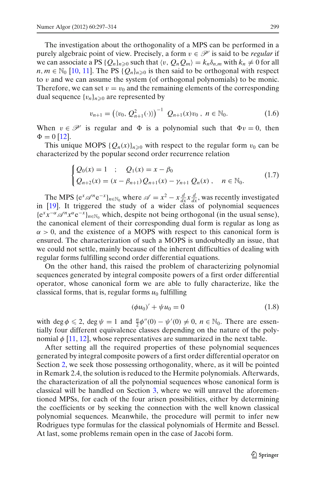<span id="page-2-0"></span>The investigation about the orthogonality of a MPS can be performed in a purely algebraic point of view. Precisely, a form  $v \in \mathcal{P}'$  is said to be *regular* if we can associate a PS  $\{Q_n\}_{n\geq 0}$  such that  $\langle v, Q_nQ_m\rangle = k_n\delta_{n,m}$  with  $k_n \neq 0$  for all  $n, m \in \mathbb{N}_0$  [\[10](#page-17-0), [11\]](#page-17-0). The PS { $Q_n$ }<sub>*n*</sub> $\geq 0$  is then said to be orthogonal with respect to v and we can assume the system (of orthogonal polynomials) to be monic. Therefore, we can set  $v = v_0$  and the remaining elements of the corresponding dual sequence  $\{v_n\}_{n\geq 0}$  are represented by

$$
v_{n+1} = ((v_0, Q_{n+1}^2(\cdot)))^{-1} Q_{n+1}(x)v_0, n \in \mathbb{N}_0.
$$
 (1.6)

When  $v \in \mathcal{P}'$  is regular and  $\Phi$  is a polynomial such that  $\Phi v = 0$ , then  $\Phi = 0$  [\[12](#page-17-0)].

This unique MOPS  $\{Q_n(x)\}_{n\geq 0}$  with respect to the regular form  $v_0$  can be characterized by the popular second order recurrence relation

$$
\begin{cases} Q_0(x) = 1 & ; \quad Q_1(x) = x - \beta_0 \\ Q_{n+2}(x) = (x - \beta_{n+1}) Q_{n+1}(x) - \gamma_{n+1} Q_n(x) \,, \quad n \in \mathbb{N}_0. \end{cases} \tag{1.7}
$$

The MPS  $\{e^x \mathscr{A}^n e^{-x}\}_{n \in \mathbb{N}_0}$  where  $\mathscr{A} = x^2 - x \frac{d}{dx} x \frac{d}{dx}$ , was recently investigated in [\[19](#page-17-0)]. It triggered the study of a wider class of polynomial sequences  ${e^{x}x^{-\alpha}}{\mathscr{A}}^{n}x^{\alpha}e^{-x}{}_{n\in\mathbb{N}}$  which, despite not being orthogonal (in the usual sense), the canonical element of their corresponding dual form is regular as long as  $\alpha > 0$ , and the existence of a MOPS with respect to this canonical form is ensured. The characterization of such a MOPS is undoubtedly an issue, that we could not settle, mainly because of the inherent difficulties of dealing with regular forms fulfilling second order differential equations.

On the other hand, this raised the problem of characterizing polynomial sequences generated by integral composite powers of a first order differential operator, whose canonical form we are able to fully characterize, like the classical forms, that is, regular forms  $u_0$  fulfilling

$$
(\phi u_0)' + \psi u_0 = 0 \tag{1.8}
$$

with deg  $\phi \leq 2$ , deg  $\psi = 1$  and  $\frac{n}{2}\phi''(0) - \psi'(0) \neq 0$ ,  $n \in \mathbb{N}_0$ . There are essentially four different equivalence classes depending on the nature of the polynomial  $\phi$  [\[11,](#page-17-0) [12\]](#page-17-0), whose representatives are summarized in the next table.

After setting all the required properties of these polynomial sequences generated by integral composite powers of a first order differential operator on Section [2,](#page-3-0) we seek those possessing orthogonality, where, as it will be pointed in Remark 2.4, the solution is reduced to the Hermite polynomials. Afterwards, the characterization of all the polynomial sequences whose canonical form is classical will be handled on Section [3,](#page-6-0) where we will unravel the aforementioned MPSs, for each of the four arisen possibilities, either by determining the coefficients or by seeking the connection with the well known classical polynomial sequences. Meanwhile, the procedure will permit to infer new Rodrigues type formulas for the classical polynomials of Hermite and Bessel. At last, some problems remain open in the case of Jacobi form.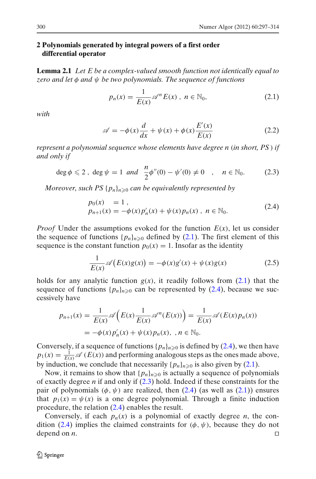# <span id="page-3-0"></span>**2 Polynomials generated by integral powers of a first order differential operator**

**Lemma 2.1** *Let E be a complex-valued smooth function not identically equal to zero and let* φ *and* ψ *be two polynomials. The sequence of functions*

$$
p_n(x) = \frac{1}{E(x)} \mathscr{A}^n E(x), \quad n \in \mathbb{N}_0,
$$
\n(2.1)

*with*

$$
\mathscr{A} = -\phi(x)\frac{d}{dx} + \psi(x) + \phi(x)\frac{E'(x)}{E(x)}
$$
(2.2)

*represent a polynomial sequence whose elements have degree n* (*in short, PS* ) *if and only if*

$$
\deg \phi \leq 2 \ , \ \deg \psi = 1 \ \ and \ \ \frac{n}{2} \phi''(0) - \psi'(0) \neq 0 \quad , \quad n \in \mathbb{N}_0. \tag{2.3}
$$

*Moreover, such PS* {*pn*}*n*-<sup>0</sup> *can be equivalently represented by*

$$
p_0(x) = 1,
$$
  
\n
$$
p_{n+1}(x) = -\phi(x) p'_n(x) + \psi(x) p_n(x), \quad n \in \mathbb{N}_0.
$$
\n(2.4)

*Proof* Under the assumptions evoked for the function  $E(x)$ , let us consider the sequence of functions  $\{p_n\}_{n\geq 0}$  defined by (2.1). The first element of this sequence is the constant function  $p_0(x) = 1$ . Insofar as the identity

$$
\frac{1}{E(x)}\mathscr{A}\big(E(x)g(x)\big) = -\phi(x)g'(x) + \psi(x)g(x) \tag{2.5}
$$

holds for any analytic function  $g(x)$ , it readily follows from (2.1) that the sequence of functions  $\{p_n\}_{n\geq 0}$  can be represented by  $(2.4)$ , because we successively have

$$
p_{n+1}(x) = \frac{1}{E(x)} \mathscr{A}\left(E(x)\frac{1}{E(x)}\mathscr{A}^n(E(x))\right) = \frac{1}{E(x)} \mathscr{A}(E(x)p_n(x))
$$
  
=  $-\phi(x)p'_n(x) + \psi(x)p_n(x), \quad n \in \mathbb{N}_0.$ 

Conversely, if a sequence of functions  $\{p_n\}_{n\geq 0}$  is defined by (2.4), we then have  $p_1(x) = \frac{1}{E(x)} \mathscr{A}(E(x))$  and performing analogous steps as the ones made above, by induction, we conclude that necessarily  $\{p_n\}_{n\geq 0}$  is also given by (2.1).

Now, it remains to show that  $\{p_n\}_{n\geqslant 0}$  is actually a sequence of polynomials of exactly degree *n* if and only if (2.3) hold. Indeed if these constraints for the pair of polynomials  $(\phi, \psi)$  are realized, then (2.4) (as well as (2.1)) ensures that  $p_1(x) = \psi(x)$  is a one degree polynomial. Through a finite induction procedure, the relation (2.4) enables the result.

Conversely, if each  $p_n(x)$  is a polynomial of exactly degree *n*, the condition (2.4) implies the claimed constraints for  $(\phi, \psi)$ , because they do not depend on *n*.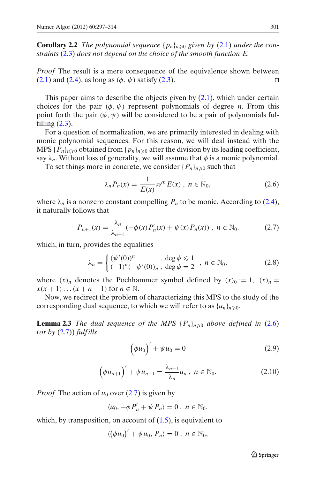<span id="page-4-0"></span>**Corollary 2.2** *The polynomial sequence*  $\{p_n\}_{n\geq 0}$  *given by* [\(2.1\)](#page-3-0) *under the constraints* [\(2.3\)](#page-3-0) *does not depend on the choice of the smooth function E.*

*Proof* The result is a mere consequence of the equivalence shown between  $(2.1)$  and  $(2.4)$ , as long as  $(\phi, \psi)$  satisfy  $(2.3)$ .

This paper aims to describe the objects given by [\(2.1\)](#page-3-0), which under certain choices for the pair  $(\phi, \psi)$  represent polynomials of degree *n*. From this point forth the pair  $(\phi, \psi)$  will be considered to be a pair of polynomials fulfilling  $(2.3)$ .

For a question of normalization, we are primarily interested in dealing with monic polynomial sequences. For this reason, we will deal instead with the MPS  $\{P_n\}_{n\geq 0}$  obtained from  $\{p_n\}_{n\geq 0}$  after the division by its leading coefficient, say  $\lambda_n$ . Without loss of generality, we will assume that  $\phi$  is a monic polynomial.

To set things more in concrete, we consider  $\{P_n\}_{n\geq 0}$  such that

$$
\lambda_n P_n(x) = \frac{1}{E(x)} \mathscr{A}^n E(x) , n \in \mathbb{N}_0,
$$
\n(2.6)

where  $\lambda_n$  is a nonzero constant compelling  $P_n$  to be monic. According to [\(2.4\)](#page-3-0), it naturally follows that

$$
P_{n+1}(x) = \frac{\lambda_n}{\lambda_{n+1}} (-\phi(x) P'_n(x) + \psi(x) P_n(x)), \quad n \in \mathbb{N}_0.
$$
 (2.7)

which, in turn, provides the equalities

$$
\lambda_n = \begin{cases}\n(\psi'(0))^n, & \deg \phi \le 1 \\
(-1)^n (-\psi'(0))_n, & \deg \phi = 2\n\end{cases}, n \in \mathbb{N}_0,\n\tag{2.8}
$$

where  $(x)_n$  denotes the Pochhammer symbol defined by  $(x)_0 := 1$ ,  $(x)_n = 1$ *x*(*x* + 1)...(*x* + *n* − 1) for *n* ∈ N.

Now, we redirect the problem of characterizing this MPS to the study of the corresponding dual sequence, to which we will refer to as  $\{u_n\}_{n\geq 0}$ .

**Lemma 2.3** *The dual sequence of the MPS*  $\{P_n\}_{n\geqslant 0}$  *above defined in* (2.6) (*or by* (2.7)) *fulf ills*

$$
\left(\phi u_0\right)' + \psi u_0 = 0\tag{2.9}
$$

$$
\left(\phi u_{n+1}\right)' + \psi u_{n+1} = \frac{\lambda_{n+1}}{\lambda_n} u_n, \ n \in \mathbb{N}_0. \tag{2.10}
$$

*Proof* The action of  $u_0$  over (2.7) is given by

$$
\langle u_0, -\phi P'_n + \psi P_n \rangle = 0 , n \in \mathbb{N}_0,
$$

which, by transposition, on account of  $(1.5)$ , is equivalent to

$$
\langle \left(\phi u_0\right)'+\psi u_0,\, P_n\rangle=0\,,\; n\in\mathbb{N}_0,
$$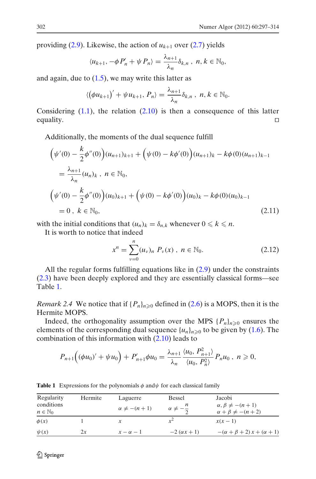<span id="page-5-0"></span>providing  $(2.9)$ . Likewise, the action of  $u_{k+1}$  over  $(2.7)$  yields

$$
\langle u_{k+1}, -\phi P'_n + \psi P_n \rangle = \frac{\lambda_{n+1}}{\lambda_n} \delta_{k,n}, \ n, k \in \mathbb{N}_0,
$$

and again, due to  $(1.5)$ , we may write this latter as

$$
\langle \left(\phi u_{k+1}\right)'+\psi u_{k+1}, P_n\rangle = \frac{\lambda_{n+1}}{\lambda_n}\delta_{k,n}, n, k \in \mathbb{N}_0.
$$

Considering  $(1.1)$ , the relation  $(2.10)$  is then a consequence of this latter equality.  $\Box$ 

Additionally, the moments of the dual sequence fulfill

$$
\begin{split}\n\left(\psi'(0) - \frac{k}{2}\phi''(0)\right)(u_{n+1})_{k+1} + \left(\psi(0) - k\phi'(0)\right)(u_{n+1})_k - k\phi(0)(u_{n+1})_{k-1} \\
&= \frac{\lambda_{n+1}}{\lambda_n}(u_n)_k, \ n \in \mathbb{N}_0, \\
\left(\psi'(0) - \frac{k}{2}\phi''(0)\right)(u_0)_{k+1} + \left(\psi(0) - k\phi'(0)\right)(u_0)_k - k\phi(0)(u_0)_{k-1} \\
&= 0, \ k \in \mathbb{N}_0,\n\end{split}
$$
\n(2.11)

with the initial conditions that  $(u_n)_k = \delta_{n,k}$  whenever  $0 \le k \le n$ .

It is worth to notice that indeed

$$
x^{n} = \sum_{\nu=0}^{n} (u_{\nu})_{n} P_{\nu}(x), \quad n \in \mathbb{N}_{0}.
$$
 (2.12)

All the regular forms fulfilling equations like in  $(2.9)$  under the constraints [\(2.3\)](#page-3-0) have been deeply explored and they are essentially classical forms—see Table 1.

*Remark 2.4* We notice that if  $\{P_n\}_{n\geq 0}$  defined in [\(2.6\)](#page-4-0) is a MOPS, then it is the Hermite MOPS.

Indeed, the orthogonality assumption over the MPS  $\{P_n\}_{n\geq 0}$  ensures the elements of the corresponding dual sequence  $\{u_n\}_{n\geq 0}$  to be given by [\(1.6\)](#page-2-0). The combination of this information with [\(2.10\)](#page-4-0) leads to

$$
P_{n+1}((\phi u_0)' + \psi u_0) + P'_{n+1}\phi u_0 = \frac{\lambda_{n+1}}{\lambda_n} \frac{\langle u_0, P_{n+1}^2 \rangle}{\langle u_0, P_n^2 \rangle} P_n u_0, \quad n \geq 0,
$$

| Regularity<br>conditions<br>$n \in \mathbb{N}_0$ | Hermite | Laguerre<br>$\alpha \neq -(n+1)$ | Bessel<br>$\alpha \neq -\frac{1}{2}$ | Jacobi<br>$\alpha, \beta \neq -(n+1)$<br>$\alpha + \beta \neq -(n+2)$ |
|--------------------------------------------------|---------|----------------------------------|--------------------------------------|-----------------------------------------------------------------------|
| $\phi(x)$                                        |         |                                  | $r^2$                                | $x(x-1)$                                                              |
| $\psi(x)$                                        | 2х      | $x - \alpha - 1$                 | $-2(\alpha x+1)$                     | $-(\alpha + \beta + 2)x + (\alpha + 1)$                               |

**Table 1** Expressions for the polynomials  $\phi$  and  $\psi$  for each classical family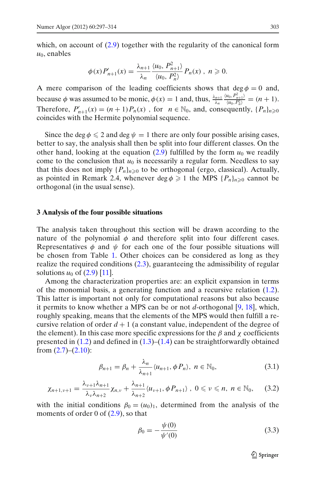<span id="page-6-0"></span>which, on account of  $(2.9)$  together with the regularity of the canonical form  $u_0$ , enables

$$
\phi(x)P'_{n+1}(x) = \frac{\lambda_{n+1}}{\lambda_n} \frac{\langle u_0, P_{n+1}^2 \rangle}{\langle u_0, P_n^2 \rangle} P_n(x) , n \geq 0.
$$

A mere comparison of the leading coefficients shows that  $\deg \phi = 0$  and, because  $\phi$  was assumed to be monic,  $\phi(x) = 1$  and, thus,  $\frac{\lambda_{n+1}}{\lambda_n}$  $\langle u_0, P_{n+1}^2 \rangle$  $\frac{u_0, r_{n+1}}{\langle u_0, P_n^2 \rangle} = (n+1).$ Therefore,  $P'_{n+1}(x) = (n+1)P_n(x)$ , for  $n \in \mathbb{N}_0$ , and, consequently,  $\{P_n\}_{n \ge 0}$ coincides with the Hermite polynomial sequence.

Since the deg  $\phi \leq 2$  and deg  $\psi = 1$  there are only four possible arising cases, better to say, the analysis shall then be split into four different classes. On the other hand, looking at the equation  $(2.9)$  fulfilled by the form  $u_0$  we readily come to the conclusion that  $u_0$  is necessarily a regular form. Needless to say that this does not imply  $\{P_n\}_{n\geq 0}$  to be orthogonal (ergo, classical). Actually, as pointed in Remark 2.4, whenever deg  $\phi \geq 1$  the MPS  $\{P_n\}_{n\geq 0}$  cannot be orthogonal (in the usual sense).

#### **3 Analysis of the four possible situations**

The analysis taken throughout this section will be drawn according to the nature of the polynomial  $\phi$  and therefore split into four different cases. Representatives  $\phi$  and  $\psi$  for each one of the four possible situations will be chosen from Table [1.](#page-5-0) Other choices can be considered as long as they realize the required conditions [\(2.3\)](#page-3-0), guaranteeing the admissibility of regular solutions  $u_0$  of  $(2.9)$  [\[11\]](#page-17-0).

Among the characterization properties are: an explicit expansion in terms of the monomial basis, a generating function and a recursive relation [\(1.2\)](#page-1-0). This latter is important not only for computational reasons but also because it permits to know whether a MPS can be or not *d*-orthogonal [\[9,](#page-17-0) [18](#page-17-0)], which, roughly speaking, means that the elements of the MPS would then fulfill a recursive relation of order  $d + 1$  (a constant value, independent of the degree of the element). In this case more specific expressions for the  $\beta$  and  $\chi$  coefficients presented in  $(1.2)$  and defined in  $(1.3)$ – $(1.4)$  can be straightforwardly obtained from  $(2.7)$ – $(2.10)$ :

$$
\beta_{n+1} = \beta_n + \frac{\lambda_n}{\lambda_{n+1}} \langle u_{n+1}, \phi P_n \rangle, \ n \in \mathbb{N}_0,
$$
\n(3.1)

$$
\chi_{n+1,\nu+1}=\frac{\lambda_{\nu+1}\lambda_{n+1}}{\lambda_{\nu}\lambda_{n+2}}\chi_{n,\nu}+\frac{\lambda_{n+1}}{\lambda_{n+2}}\langle u_{\nu+1},\phi P_{n+1}\rangle, \ 0\leqslant\nu\leqslant n, \ n\in\mathbb{N}_0,\qquad(3.2)
$$

with the initial conditions  $\beta_0 = (u_0)_1$ , determined from the analysis of the moments of order 0 of  $(2.9)$ , so that

$$
\beta_0 = -\frac{\psi(0)}{\psi'(0)}\tag{3.3}
$$

 $\mathcal{D}$  Springer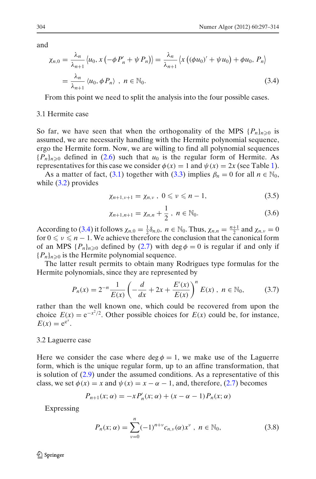<span id="page-7-0"></span>and

$$
\chi_{n,0} = \frac{\lambda_n}{\lambda_{n+1}} \langle u_0, x \left( -\phi P'_n + \psi P_n \rangle \right) = \frac{\lambda_n}{\lambda_{n+1}} \langle x \left( (\phi u_0)' + \psi u_0 \right) + \phi u_0, P_n \rangle
$$
  
=  $\frac{\lambda_n}{\lambda_{n+1}} \langle u_0, \phi P_n \rangle$ ,  $n \in \mathbb{N}_0$ . (3.4)

From this point we need to split the analysis into the four possible cases.

# 3.1 Hermite case

So far, we have seen that when the orthogonality of the MPS  $\{P_n\}_{n\geq 0}$  is assumed, we are necessarily handling with the Hermite polynomial sequence, ergo the Hermite form. Now, we are willing to find all polynomial sequences  ${P_n}_{n \geq 0}$  defined in [\(2.6\)](#page-4-0) such that  $u_0$  is the regular form of Hermite. As representatives for this case we consider  $\phi(x) = 1$  and  $\psi(x) = 2x$  (see Table [1\)](#page-5-0).

As a matter of fact, [\(3.1\)](#page-6-0) together with [\(3.3\)](#page-6-0) implies  $\beta_n = 0$  for all  $n \in \mathbb{N}_0$ , while [\(3.2\)](#page-6-0) provides

$$
\chi_{n+1,\nu+1} = \chi_{n,\nu}, \ 0 \leqslant \nu \leqslant n-1,\tag{3.5}
$$

$$
\chi_{n+1,n+1} = \chi_{n,n} + \frac{1}{2}, \ n \in \mathbb{N}_0.
$$
 (3.6)

According to (3.4) it follows  $\chi_{n,0} = \frac{1}{2} \delta_{n,0}$ ,  $n \in \mathbb{N}_0$ . Thus,  $\chi_{n,n} = \frac{n+1}{2}$  and  $\chi_{n,\nu} = 0$ for  $0 \le v \le n - 1$ . We achieve therefore the conclusion that the canonical form of an MPS  $\{P_n\}_{n\geq 0}$  defined by [\(2.7\)](#page-4-0) with deg  $\phi = 0$  is regular if and only if  ${P_n}_{n \geq 0}$  is the Hermite polynomial sequence.

The latter result permits to obtain many Rodrigues type formulas for the Hermite polynomials, since they are represented by

$$
P_n(x) = 2^{-n} \frac{1}{E(x)} \left( -\frac{d}{dx} + 2x + \frac{E'(x)}{E(x)} \right)^n E(x), \quad n \in \mathbb{N}_0,
$$
 (3.7)

rather than the well known one, which could be recovered from upon the choice  $E(x) = e^{-x^2/2}$ . Other possible choices for  $E(x)$  could be, for instance,  $E(x) = e^{e^x}.$ 

### 3.2 Laguerre case

Here we consider the case where  $\deg \phi = 1$ , we make use of the Laguerre form, which is the unique regular form, up to an affine transformation, that is solution of [\(2.9\)](#page-4-0) under the assumed conditions. As a representative of this class, we set  $\phi(x) = x$  and  $\psi(x) = x - \alpha - 1$ , and, therefore, [\(2.7\)](#page-4-0) becomes

$$
P_{n+1}(x; \alpha) = -x P'_n(x; \alpha) + (x - \alpha - 1) P_n(x; \alpha)
$$

Expressing

$$
P_n(x; \alpha) = \sum_{\nu=0}^n (-1)^{n+\nu} c_{n,\nu}(\alpha) x^{\nu}, \ n \in \mathbb{N}_0,
$$
 (3.8)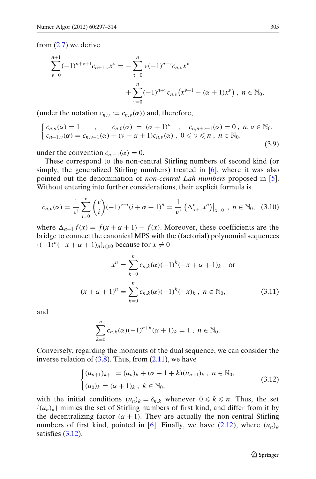<span id="page-8-0"></span>from [\(2.7\)](#page-4-0) we derive

$$
\sum_{\nu=0}^{n+1} (-1)^{n+\nu+1} c_{n+1,\nu} x^{\nu} = -\sum_{\tau=0}^{n} \nu (-1)^{n+\nu} c_{n,\nu} x^{\nu} + \sum_{\nu=0}^{n} (-1)^{n+\nu} c_{n,\nu} (x^{\nu+1} - (\alpha+1) x^{\nu}), \quad n \in \mathbb{N}_0,
$$

(under the notation  $c_{n,\nu} := c_{n,\nu}(\alpha)$ ) and, therefore,

$$
\begin{cases}\nc_{n,n}(\alpha) = 1, & c_{n,0}(\alpha) = (\alpha + 1)^n, & c_{n,n+\nu+1}(\alpha) = 0, n, \nu \in \mathbb{N}_0, \\
c_{n+1,\nu}(\alpha) = c_{n,\nu-1}(\alpha) + (\nu + \alpha + 1)c_{n,\nu}(\alpha), & 0 \leq \nu \leq n, n \in \mathbb{N}_0,\n\end{cases}
$$
\n(3.9)

under the convention  $c_{n,-1}(\alpha) = 0$ .

These correspond to the non-central Stirling numbers of second kind (or simply, the generalized Stirling numbers) treated in [\[6](#page-17-0)], where it was also pointed out the denomination of *non-central Lah numbers* proposed in [\[5\]](#page-16-0). Without entering into further considerations, their explicit formula is

$$
c_{n,\nu}(\alpha) = \frac{1}{\nu!} \sum_{i=0}^{\nu} {\binom{\nu}{i}} (-1)^{\nu-i} (i+\alpha+1)^n = \frac{1}{\nu!} \left( \Delta_{\alpha+1}^{\nu} x^n \right) \big|_{x=0}, \quad n \in \mathbb{N}_0, \quad (3.10)
$$

where  $\Delta_{\alpha+1} f(x) = f(x + \alpha + 1) - f(x)$ . Moreover, these coefficients are the bridge to connect the canonical MPS with the (factorial) polynomial sequences  ${(-1)^n(-x + \alpha + 1)_n}_{n \geq 0}$  because for  $x \neq 0$ 

$$
x^{n} = \sum_{k=0}^{n} c_{n,k}(\alpha)(-1)^{k}(-x+\alpha+1)_{k} \text{ or}
$$
  

$$
(x+\alpha+1)^{n} = \sum_{k=0}^{n} c_{n,k}(\alpha)(-1)^{k}(-x)_{k}, \quad n \in \mathbb{N}_{0},
$$
 (3.11)

and

$$
\sum_{k=0}^n c_{n,k}(\alpha)(-1)^{n+k}(\alpha+1)_k = 1, \; n \in \mathbb{N}_0.
$$

Conversely, regarding the moments of the dual sequence, we can consider the inverse relation of  $(3.8)$ . Thus, from  $(2.11)$ , we have

$$
\begin{cases} (u_{n+1})_{k+1} = (u_n)_k + (\alpha + 1 + k)(u_{n+1})_k, & n \in \mathbb{N}_0, \\ (u_0)_k = (\alpha + 1)_k, & k \in \mathbb{N}_0, \end{cases}
$$
(3.12)

with the initial conditions  $(u_n)_k = \delta_{n,k}$  whenever  $0 \le k \le n$ . Thus, the set  $\{(u_n)_k\}$  mimics the set of Stirling numbers of first kind, and differ from it by the decentralizing factor  $(\alpha + 1)$ . They are actually the non-central Stirling numbers of first kind, pointed in [\[6\]](#page-17-0). Finally, we have  $(2.12)$ , where  $(u_n)_k$ satisfies  $(3.12)$ .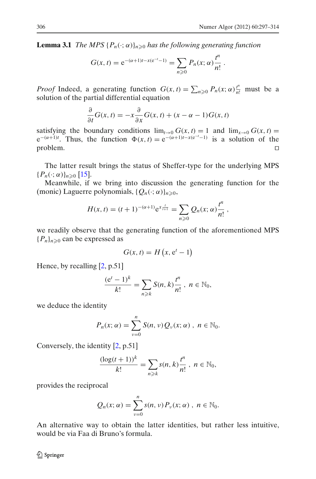**Lemma 3.1** *The MPS*  $\{P_n(\cdot; \alpha)\}_{n \geq 0}$  *has the following generating function* 

$$
G(x, t) = e^{-(\alpha+1)t - x(e^{-t}-1)} = \sum_{n \geq 0} P_n(x; \alpha) \frac{t^n}{n!}.
$$

*Proof* Indeed, a generating function  $G(x, t) = \sum_{n\geq 0} P_n(x; \alpha) \frac{t^n}{n!}$  must be a solution of the partial differential equation

$$
\frac{\partial}{\partial t}G(x,t) = -x\frac{\partial}{\partial x}G(x,t) + (x - \alpha - 1)G(x,t)
$$

satisfying the boundary conditions  $\lim_{t\to 0} G(x, t) = 1$  and  $\lim_{x\to 0} G(x, t) =$  $e^{-(\alpha+1)t}$ . Thus, the function  $\Phi(x, t) = e^{-(\alpha+1)t-x(e^{-t}-1)}$  is a solution of the problem.

The latter result brings the status of Sheffer-type for the underlying MPS  ${P_n(\cdot; \alpha)}_{n \geqslant 0}$  [\[15\]](#page-17-0).

Meanwhile, if we bring into discussion the generating function for the (monic) Laguerre polynomials,  $\{Q_n(\cdot; \alpha)\}_{n \geq 0}$ ,

$$
H(x,t) = (t+1)^{-(\alpha+1)} e^{x \frac{t}{t+1}} = \sum_{n \geq 0} Q_n(x; \alpha) \frac{t^n}{n!},
$$

we readily observe that the generating function of the aforementioned MPS  ${P_n}_{n \geq 0}$  can be expressed as

$$
G(x, t) = H\left(x, e^t - 1\right)
$$

Hence, by recalling  $[2, p.51]$  $[2, p.51]$ 

$$
\frac{(e^t-1)^k}{k!}=\sum_{n\geqslant k}S(n,k)\frac{t^n}{n!},\ n\in\mathbb{N}_0,
$$

we deduce the identity

$$
P_n(x; \alpha) = \sum_{\nu=0}^n S(n, \nu) Q_{\nu}(x; \alpha) , n \in \mathbb{N}_0.
$$

Conversely, the identity [\[2](#page-16-0), p.51]

$$
\frac{(\log(t+1))^k}{k!} = \sum_{n \geq k} s(n,k) \frac{t^n}{n!}, \; n \in \mathbb{N}_0,
$$

provides the reciprocal

$$
Q_n(x;\alpha)=\sum_{\nu=0}^n s(n,\nu) P_{\nu}(x;\alpha) , n \in \mathbb{N}_0.
$$

An alternative way to obtain the latter identities, but rather less intuitive, would be via Faa di Bruno's formula.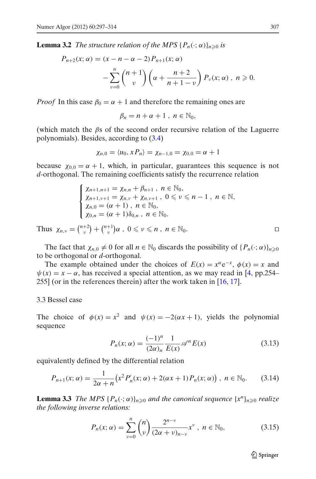<span id="page-10-0"></span>**Lemma 3.2** *The structure relation of the MPS*  $\{P_n(\cdot; \alpha)\}_{n \geq 0}$  *is* 

$$
P_{n+2}(x; \alpha) = (x - n - \alpha - 2) P_{n+1}(x; \alpha)
$$
  
- 
$$
\sum_{\nu=0}^{n} {n+1 \choose \nu} \left( \alpha + \frac{n+2}{n+1-\nu} \right) P_{\nu}(x; \alpha), \quad n \ge 0.
$$

*Proof* In this case  $\beta_0 = \alpha + 1$  and therefore the remaining ones are

$$
\beta_n=n+\alpha+1\;,\;n\in\mathbb{N}_0,
$$

(which match the  $\beta$ s of the second order recursive relation of the Laguerre polynomials). Besides, according to [\(3.4\)](#page-7-0)

$$
\chi_{n,0}=\langle u_0,xP_n\rangle=\chi_{n-1,0}=\chi_{0,0}=\alpha+1
$$

because  $\chi_{0,0} = \alpha + 1$ , which, in particular, guarantees this sequence is not *d*-orthogonal. The remaining coefficients satisfy the recurrence relation

$$
\begin{cases}\n\chi_{n+1,n+1} = \chi_{n,n} + \beta_{n+1}, \; n \in \mathbb{N}_0, \\
\chi_{n+1,\nu+1} = \chi_{n,\nu} + \chi_{n,\nu+1}, \; 0 \leq \nu \leq n-1, \; n \in \mathbb{N}, \\
\chi_{n,0} = (\alpha + 1), \; n \in \mathbb{N}_0, \\
\chi_{0,n} = (\alpha + 1)\delta_{0,n}, \; n \in \mathbb{N}_0.\n\end{cases}
$$

Thus  $\chi_{n,\nu} = \binom{n+2}{\nu} + \binom{n+1}{\nu} \alpha$ ,  $0 \leq \nu \leq n$ ,  $n \in \mathbb{N}_0$ .

The fact that  $\chi_{n,0} \neq 0$  for all  $n \in \mathbb{N}_0$  discards the possibility of  $\{P_n(\cdot; \alpha)\}_{n \geq 0}$ to be orthogonal or *d*-orthogonal.

The example obtained under the choices of  $E(x) = x^{\alpha}e^{-x}$ ,  $\phi(x) = x$  and  $\psi(x) = x - \alpha$ , has received a special attention, as we may read in [\[4](#page-16-0), pp.254– 255] (or in the references therein) after the work taken in [\[16](#page-17-0), [17](#page-17-0)].

# 3.3 Bessel case

The choice of  $\phi(x) = x^2$  and  $\psi(x) = -2(\alpha x + 1)$ , yields the polynomial sequence

$$
P_n(x; \alpha) = \frac{(-1)^n}{(2\alpha)_n} \frac{1}{E(x)} \mathscr{A}^n E(x) \tag{3.13}
$$

equivalently defined by the differential relation

$$
P_{n+1}(x; \alpha) = \frac{1}{2\alpha + n} \left( x^2 P'_n(x; \alpha) + 2(\alpha x + 1) P_n(x; \alpha) \right), \ n \in \mathbb{N}_0. \tag{3.14}
$$

**Lemma 3.3** *The MPS*  $\{P_n(\cdot; \alpha)\}_{n \geq 0}$  *and the canonical sequence*  $\{x^n\}_{n \geq 0}$  *realize the following inverse relations:*

$$
P_n(x; \alpha) = \sum_{\nu=0}^n {n \choose \nu} \frac{2^{n-\nu}}{(2\alpha+\nu)_{n-\nu}} x^{\nu}, \ n \in \mathbb{N}_0,
$$
 (3.15)

 $\mathcal{D}$  Springer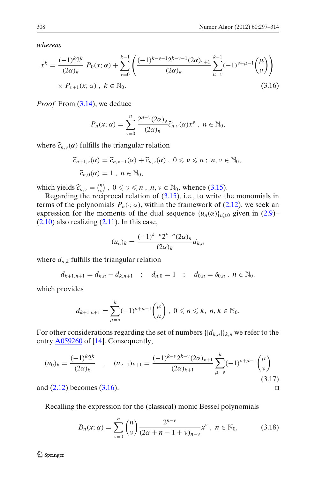<span id="page-11-0"></span>*whereas*

$$
x^{k} = \frac{(-1)^{k} 2^{k}}{(2\alpha)_{k}} P_{0}(x; \alpha) + \sum_{\nu=0}^{k-1} \left( \frac{(-1)^{k-\nu-1} 2^{k-\nu-1} (2\alpha)_{\nu+1}}{(2\alpha)_{k}} \sum_{\mu=\nu}^{k-1} (-1)^{\nu+\mu-1} {\mu \choose \nu} \right) \times P_{\nu+1}(x; \alpha), \ k \in \mathbb{N}_{0}.
$$
\n(3.16)

*Proof* From [\(3.14\)](#page-10-0), we deduce

$$
P_n(x;\alpha)=\sum_{\nu=0}^n\frac{2^{n-\nu}(2\alpha)_\nu}{(2\alpha)_n}\widehat{c}_{n,\nu}(\alpha)x^\nu,\ \ n\in\mathbb{N}_0,
$$

where  $\widehat{c}_{n,\nu}(\alpha)$  fulfills the triangular relation

$$
\begin{aligned} \widehat{c}_{n+1,\nu}(\alpha) &= \widehat{c}_{n,\nu-1}(\alpha) + \widehat{c}_{n,\nu}(\alpha) \;, \; 0 \leqslant \nu \leqslant n \;; \; n, \nu \in \mathbb{N}_0, \\ \widehat{c}_{n,0}(\alpha) &= 1 \;, \; n \in \mathbb{N}_0, \end{aligned}
$$

which yields  $\widehat{c}_{n,v} = \binom{n}{v}$ ,  $0 \le v \le n$ ,  $n, v \in \mathbb{N}_0$ , whence [\(3.15\)](#page-10-0).<br>Regarding the reciprocal relation of (3.15), i.e., to write the

Regarding the reciprocal relation of  $(3.15)$ , i.e., to write the monomials in terms of the polynomials  $P_n(\cdot; \alpha)$ , within the framework of [\(2.12\)](#page-5-0), we seek an expression for the moments of the dual sequence  $\{u_n(\alpha)\}_{n\geq 0}$  given in [\(2.9\)](#page-4-0)–  $(2.10)$  also realizing  $(2.11)$ . In this case,

$$
(u_n)_k = \frac{(-1)^{k-n} 2^{k-n} (2\alpha)_n}{(2\alpha)_k} d_{k,n}
$$

where  $d_{n,k}$  fulfills the triangular relation

$$
d_{k+1,n+1} = d_{k,n} - d_{k,n+1} \quad ; \quad d_{n,0} = 1 \quad ; \quad d_{0,n} = \delta_{0,n} \quad n \in \mathbb{N}_0.
$$

which provides

$$
d_{k+1,n+1} = \sum_{\mu=n}^{k} (-1)^{n+\mu-1} {\mu \choose n}, \ 0 \leqslant n \leqslant k, \ n, k \in \mathbb{N}_0.
$$

For other considerations regarding the set of numbers  $\{|d_{k,n}|\}_{k,n}$  we refer to the entry  $\triangle$ 059260 of [\[14\]](#page-17-0). Consequently,

$$
(u_0)_k = \frac{(-1)^k 2^k}{(2\alpha)_k} \quad , \quad (u_{\nu+1})_{k+1} = \frac{(-1)^{k-\nu} 2^{k-\nu} (2\alpha)_{\nu+1}}{(2\alpha)_{k+1}} \sum_{\mu=\nu}^k (-1)^{\nu+\mu-1} {\mu \choose \nu}
$$
\n(3.17)

and  $(2.12)$  becomes  $(3.16)$ .

Recalling the expression for the (classical) monic Bessel polynomials

$$
B_n(x; \alpha) = \sum_{\nu=0}^n {n \choose \nu} \frac{2^{n-\nu}}{(2\alpha+n-1+\nu)_{n-\nu}} x^{\nu}, \ n \in \mathbb{N}_0,
$$
 (3.18)

2 Springer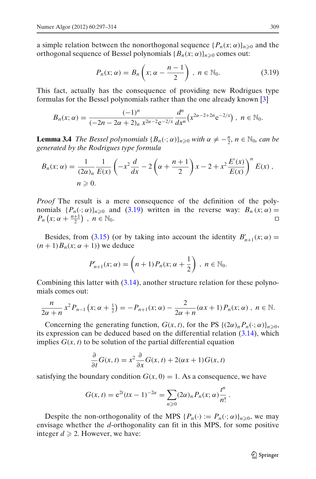a simple relation between the nonorthogonal sequence  $\{P_n(x; \alpha)\}_{n \geq 0}$  and the orthogonal sequence of Bessel polynomials  ${B_n(x; \alpha)}_{n \geq 0}$  comes out:

$$
P_n(x; \alpha) = B_n\left(x; \alpha - \frac{n-1}{2}\right), \ n \in \mathbb{N}_0. \tag{3.19}
$$

This fact, actually has the consequence of providing new Rodrigues type formulas for the Bessel polynomials rather than the one already known [\[3](#page-16-0)]

$$
B_n(x;\alpha)=\frac{(-1)^n}{(-2n-2\alpha+2)_n\,x^{2\alpha-2}e^{-2/x}}\frac{d^n}{dx^n}\big(x^{2\alpha-2+2n}e^{-2/x}\big),\;n\in\mathbb{N}_0.
$$

**Lemma 3.4** *The Bessel polynomials*  ${B_n(\cdot; \alpha)}_{n \geq 0}$  *with*  $\alpha \neq -\frac{n}{2}$ ,  $n \in \mathbb{N}_0$ , *can be generated by the Rodrigues type formula*

$$
B_n(x; \alpha) = \frac{1}{(2\alpha)_n} \frac{1}{E(x)} \left( -x^2 \frac{d}{dx} - 2\left(\alpha + \frac{n+1}{2}\right)x - 2 + x^2 \frac{E'(x)}{E(x)} \right)^n E(x),
$$
  
\n
$$
n \ge 0.
$$

*Proof* The result is a mere consequence of the definition of the polynomials  $\{P_n(\cdot; \alpha)\}_{n\geq 0}$  and  $(3.19)$  written in the reverse way:  $B_n(x; \alpha) =$  $P_n(x; \alpha + \frac{n+1}{2})$ ,  $n \in \mathbb{N}_0$ .

Besides, from [\(3.15\)](#page-10-0) (or by taking into account the identity  $B'_{n+1}(x; \alpha) =$  $(n+1)B_n(x; \alpha+1)$  we deduce

$$
P'_{n+1}(x;\alpha) = \left(n+1)P_n(x;\alpha+\frac{1}{2}\right),\ n \in \mathbb{N}_0.
$$

Combining this latter with [\(3.14\)](#page-10-0), another structure relation for these polynomials comes out:

$$
\frac{n}{2\alpha+n}x^2P_{n-1}(x;\alpha+\frac{1}{2})=-P_{n+1}(x;\alpha)-\frac{2}{2\alpha+n}(\alpha x+1)P_n(x;\alpha),\;n\in\mathbb{N}.
$$

Concerning the generating function,  $G(x, t)$ , for the PS  $\{(2\alpha)_n P_n(\cdot; \alpha)\}_{n \ge 0}$ , its expression can be deduced based on the differential relation [\(3.14\)](#page-10-0), which implies  $G(x, t)$  to be solution of the partial differential equation

$$
\frac{\partial}{\partial t}G(x,t) = x^2 \frac{\partial}{\partial x}G(x,t) + 2(\alpha x + 1)G(x,t)
$$

satisfying the boundary condition  $G(x, 0) = 1$ . As a consequence, we have

$$
G(x, t) = e^{2t} (tx - 1)^{-2\alpha} = \sum_{n \geq 0} (2\alpha)_n P_n(x; \alpha) \frac{t^n}{n!}.
$$

Despite the non-orthogonality of the MPS  $\{P_n(\cdot) := P_n(\cdot; \alpha)\}_{n \geq 0}$ , we may envisage whether the *d*-orthogonality can fit in this MPS, for some positive integer  $d \ge 2$ . However, we have: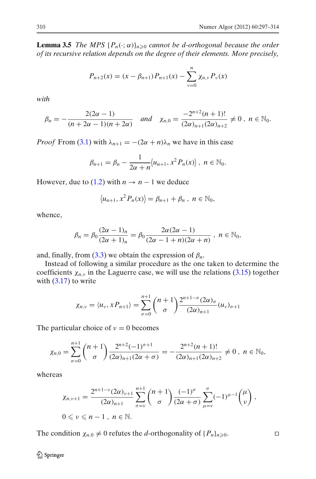**Lemma 3.5** *The MPS*  $\{P_n(\cdot; \alpha)\}_{n \geq 0}$  *cannot be d-orthogonal because the order of its recursive relation depends on the degree of their elements. More precisely,*

$$
P_{n+2}(x) = (x - \beta_{n+1}) P_{n+1}(x) - \sum_{\nu=0}^{n} \chi_{n,\nu} P_{\nu}(x)
$$

*with*

$$
\beta_n=-\frac{2(2\alpha-1)}{(n+2\alpha-1)(n+2\alpha)} \quad \text{and} \quad \chi_{n,0}=\frac{-2^{n+2}(n+1)!}{(2\alpha)_{n+1}(2\alpha)_{n+2}}\neq 0 \ , \ n\in\mathbb{N}_0.
$$

*Proof* From [\(3.1\)](#page-6-0) with  $\lambda_{n+1} = -(2\alpha + n)\lambda_n$  we have in this case

$$
\beta_{n+1} = \beta_n - \frac{1}{2\alpha + n} \langle u_{n+1}, x^2 P_n(x) \rangle, \ n \in \mathbb{N}_0.
$$

However, due to [\(1.2\)](#page-1-0) with  $n \to n-1$  we deduce

$$
\langle u_{n+1}, x^2 P_n(x) \rangle = \beta_{n+1} + \beta_n , n \in \mathbb{N}_0,
$$

whence,

$$
\beta_n = \beta_0 \frac{(2\alpha - 1)_n}{(2\alpha + 1)_n} = \beta_0 \frac{2\alpha(2\alpha - 1)}{(2\alpha - 1 + n)(2\alpha + n)}, \quad n \in \mathbb{N}_0,
$$

and, finally, from  $(3.3)$  we obtain the expression of  $\beta_n$ .

Instead of following a similar procedure as the one taken to determine the coefficients  $\chi_{n,v}$  in the Laguerre case, we will use the relations [\(3.15\)](#page-10-0) together with  $(3.17)$  to write

$$
\chi_{n,\nu} = \langle u_{\nu}, x P_{n+1} \rangle = \sum_{\sigma=0}^{n+1} {n+1 \choose \sigma} \frac{2^{n+1-\sigma} (2\alpha)_{\sigma}}{(2\alpha)_{n+1}} (u_{\nu})_{\sigma+1}
$$

The particular choice of  $v = 0$  becomes

$$
\chi_{n,0}=\sum_{\sigma=0}^{n+1}\binom{n+1}{\sigma}\frac{2^{n+2}(-1)^{\sigma+1}}{(2\alpha)_{n+1}(2\alpha+\sigma)}=-\frac{2^{n+2}(n+1)!}{(2\alpha)_{n+1}(2\alpha)_{n+2}}\neq 0\ ,\ n\in\mathbb{N}_0,
$$

whereas

$$
\chi_{n,\nu+1} = \frac{2^{n+1-\nu}(2\alpha)_{\nu+1}}{(2\alpha)_{n+1}} \sum_{\sigma=\nu}^{n+1} {n+1 \choose \sigma} \frac{(-1)^{\sigma}}{(2\alpha+\sigma)} \sum_{\mu=\nu}^{\sigma} (-1)^{\mu-1} {(\mu \choose \nu},
$$
  
 $0 \le \nu \le n-1$ ,  $n \in \mathbb{N}$ .

The condition  $\chi_{n,0} \neq 0$  refutes the *d*-orthogonality of  $\{P_n\}_{n \geq 0}$ . <sup>0</sup>.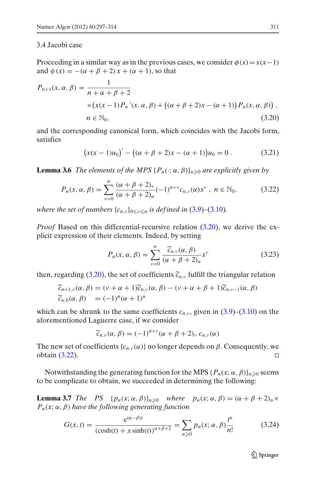# <span id="page-14-0"></span>3.4 Jacobi case

Proceeding in a similar way as in the previous cases, we consider  $\phi(x) = x(x-1)$ and  $\psi(x) = -(\alpha + \beta + 2)x + (\alpha + 1)$ , so that

$$
P_{n+1}(x, \alpha, \beta) = \frac{1}{n + \alpha + \beta + 2}
$$
  
 
$$
\times \left(x(x-1)P_n'(x, \alpha, \beta) + \left((\alpha + \beta + 2)x - (\alpha + 1)\right)P_n(x, \alpha, \beta)\right),
$$
  
\n
$$
n \in \mathbb{N}_0,
$$
\n(3.20)

and the corresponding canonical form, which coincides with the Jacobi form, satisfies

$$
(x(x-1)u_0)' - ((\alpha + \beta + 2)x - (\alpha + 1))u_0 = 0.
$$
 (3.21)

**Lemma 3.6** *The elements of the MPS*  $\{P_n(\cdot; \alpha, \beta)\}_{n\geq 0}$  are explicitly given by

$$
P_n(x, \alpha, \beta) = \sum_{\nu=0}^n \frac{(\alpha + \beta + 2)_{\nu}}{(\alpha + \beta + 2)_n} (-1)^{n+\nu} c_{n,\nu}(\alpha) x^{\nu}, \ n \in \mathbb{N}_0,
$$
 (3.22)

*where the set of numbers*  $\{c_{n,v}\}_{0\leq v\leq n}$  *is defined in* [\(3.9\)](#page-8-0)–[\(3.10\)](#page-8-0)*.* 

*Proof* Based on this differential-recursive relation (3.20), we derive the explicit expression of their elements. Indeed, by setting

$$
P_n(x, \alpha, \beta) = \sum_{\nu=0}^n \frac{\widetilde{c}_{n,\nu}(\alpha, \beta)}{(\alpha + \beta + 2)_n} x^{\nu}
$$
 (3.23)

then, regarding (3.20), the set of coefficients  $\tilde{c}_{n,v}$  fulfill the triangular relation

$$
\widetilde{c}_{n+1,\nu}(\alpha,\beta) = (\nu + \alpha + 1)\widetilde{c}_{n,\nu}(\alpha,\beta) - (\nu + \alpha + \beta + 1)\widetilde{c}_{n,\nu-1}(\alpha,\beta)
$$
  

$$
\widetilde{c}_{n,0}(\alpha,\beta) = (-1)^n(\alpha+1)^n
$$

which can be shrunk to the same coefficients  $c_{n,\nu}$ , given in  $(3.9)$ – $(3.10)$  on the aforementioned Laguerre case, if we consider

$$
\widetilde{c}_{n,\nu}(\alpha,\beta) = (-1)^{n+\nu}(\alpha+\beta+2)_{\nu} c_{n,\nu}(\alpha)
$$

The new set of coefficients  ${c_{n,v}(\alpha)}$  no longer depends on  $\beta$ . Consequently, we obtain  $(3.22)$ .

Notwithstanding the generating function for the MPS  $\{P_n(x; \alpha, \beta)\}_{n\geq 0}$  seems to be complicate to obtain, we succeeded in determining the following:

**Lemma 3.7** *The PS*  $\{p_n(x; \alpha, \beta)\}_{n \geq 0}$  *where*  $p_n(x; \alpha, \beta) = (\alpha + \beta + 2)_n \times$  $P_n(x; \alpha, \beta)$  *have the following generating function* 

$$
G(x, t) = \frac{e^{(\alpha - \beta)t}}{(\cosh(t) + x \sinh(t))^{\alpha + \beta + 2}} = \sum_{n \ge 0} p_n(x; \alpha, \beta) \frac{t^n}{n!}
$$
(3.24)

 $\mathcal{D}$  Springer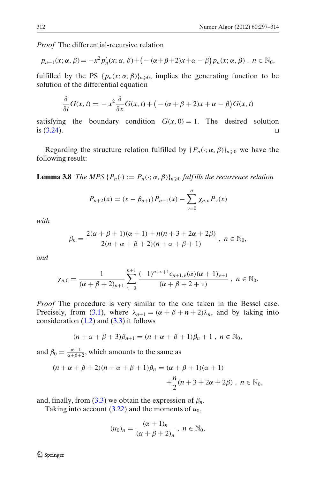*Proof* The differential-recursive relation

$$
p_{n+1}(x; \alpha, \beta) = -x^2 p'_n(x; \alpha, \beta) + \left(-\left(\alpha + \beta + 2\right)x + \alpha - \beta\right) p_n(x; \alpha, \beta) , \quad n \in \mathbb{N}_0,
$$

fulfilled by the PS  $\{p_n(x; \alpha, \beta)\}_{n \geq 0}$ , implies the generating function to be solution of the differential equation

$$
\frac{\partial}{\partial t}G(x,t) = -x^2 \frac{\partial}{\partial x}G(x,t) + \big(-(\alpha + \beta + 2)x + \alpha - \beta\big)G(x,t)
$$

satisfying the boundary condition  $G(x, 0) = 1$ . The desired solution is  $(3.24)$ .

Regarding the structure relation fulfilled by  $\{P_n(\cdot; \alpha, \beta)\}_{n\geq 0}$  we have the following result:

**Lemma 3.8** *The MPS* { $P_n(\cdot) := P_n(\cdot; \alpha, \beta)$ } $_{n \geq 0}$  *fulfills the recurrence relation* 

$$
P_{n+2}(x) = (x - \beta_{n+1}) P_{n+1}(x) - \sum_{\nu=0}^{n} \chi_{n,\nu} P_{\nu}(x)
$$

*with*

$$
\beta_n = \frac{2(\alpha + \beta + 1)(\alpha + 1) + n(n + 3 + 2\alpha + 2\beta)}{2(n + \alpha + \beta + 2)(n + \alpha + \beta + 1)}, \quad n \in \mathbb{N}_0,
$$

*and*

$$
\chi_{n,0}=\frac{1}{(\alpha+\beta+2)_{n+1}}\sum_{\nu=0}^{n+1}\frac{(-1)^{n+\nu+1}c_{n+1,\nu}(\alpha)(\alpha+1)_{\nu+1}}{(\alpha+\beta+2+\nu)}, n\in\mathbb{N}_0.
$$

*Proof* The procedure is very similar to the one taken in the Bessel case. Precisely, from [\(3.1\)](#page-6-0), where  $\lambda_{n+1} = (\alpha + \beta + n + 2)\lambda_n$ , and by taking into consideration  $(1.2)$  and  $(3.3)$  it follows

$$
(n+\alpha+\beta+3)\beta_{n+1}=(n+\alpha+\beta+1)\beta_n+1, n\in\mathbb{N}_0,
$$

and  $\beta_0 = \frac{\alpha+1}{\alpha+\beta+2}$ , which amounts to the same as

$$
(n+\alpha+\beta+2)(n+\alpha+\beta+1)\beta_n = (\alpha+\beta+1)(\alpha+1)
$$
  
 
$$
+\frac{n}{2}(n+3+2\alpha+2\beta), \quad n \in \mathbb{N}_0,
$$

and, finally, from  $(3.3)$  we obtain the expression of  $\beta_n$ .

Taking into account  $(3.22)$  and the moments of  $u_0$ ,

$$
(u_0)_n=\frac{(\alpha+1)_n}{(\alpha+\beta+2)_n}, n\in\mathbb{N}_0,
$$

 $\textcircled{2}$  Springer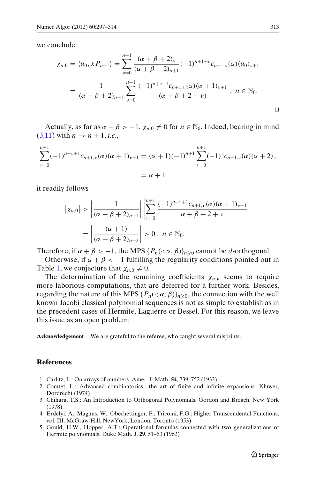<span id="page-16-0"></span>we conclude

$$
\chi_{n,0} = \langle u_0, x P_{n+1} \rangle = \sum_{\nu=0}^{n+1} \frac{(\alpha + \beta + 2)_{\nu}}{(\alpha + \beta + 2)_{n+1}} (-1)^{n+1+\nu} c_{n+1,\nu}(\alpha) (u_0)_{\nu+1}
$$
  
= 
$$
\frac{1}{(\alpha + \beta + 2)_{n+1}} \sum_{\nu=0}^{n+1} \frac{(-1)^{n+\nu+1} c_{n+1,\nu}(\alpha) (\alpha + 1)_{\nu+1}}{(\alpha + \beta + 2 + \nu)}, \quad n \in \mathbb{N}_0.
$$

Actually, as far as  $\alpha + \beta > -1$ ,  $\chi_{n,0} \neq 0$  for  $n \in \mathbb{N}_0$ . Indeed, bearing in mind  $(3.11)$  with  $n \rightarrow n+1$ , *i.e.*,

$$
\sum_{\nu=0}^{n+1} (-1)^{n+\nu+1} c_{n+1,\nu}(\alpha)(\alpha+1)_{\nu+1} = (\alpha+1)(-1)^{n+1} \sum_{\nu=0}^{n+1} (-1)^{\nu} c_{n+1,\nu}(\alpha)(\alpha+2)_{\nu}
$$
  
=  $\alpha + 1$ 

it readily follows

$$
\left|\chi_{n,0}\right| > \left|\frac{1}{(\alpha+\beta+2)_{n+1}}\right| \left|\sum_{\nu=0}^{n+1} \frac{(-1)^{n+\nu+1}c_{n+1,\nu}(\alpha)(\alpha+1)_{\nu+1}}{\alpha+\beta+2+\nu}\right|
$$
\n
$$
= \left|\frac{(\alpha+1)}{(\alpha+\beta+2)_{n+2}}\right| > 0, \quad n \in \mathbb{N}_0.
$$

Therefore, if  $\alpha + \beta > -1$ , the MPS  $\{P_n(\cdot; \alpha, \beta)\}_{n \geq 0}$  cannot be *d*-orthogonal.

Otherwise, if  $\alpha + \beta < -1$  fulfilling the regularity conditions pointed out in Table [1,](#page-5-0) we conjecture that  $\chi_{n,0} \neq 0$ .

The determination of the remaining coefficients  $\chi_{n,v}$  seems to require more laborious computations, that are deferred for a further work. Besides, regarding the nature of this MPS  $\{P_n(\cdot; \alpha, \beta)\}_{n \geq 0}$ , the connection with the well known Jacobi classical polynomial sequences is not as simple to establish as in the precedent cases of Hermite, Laguerre or Bessel. For this reason, we leave this issue as an open problem.

**Acknowledgement** We are grateful to the referee, who caught several misprints.

# **References**

- 1. Carlitz, L.: On arrays of numbers. Amer. J. Math. **54**, 739–752 (1932)
- 2. Comtet, L.: Advanced combinatorics—the art of finite and infinite expansions. Kluwer, Dordrecht (1974)
- 3. Chihara, T.S.: An Introduction to Orthogonal Polynomials. Gordon and Breach, New York (1978)
- 4. Erdélyi, A., Magnus, W., Oberhettinger, F., Tricomi, F.G.: Higher Transcendental Functions, vol. III. McGraw-Hill, NewYork, London, Toronto (1953)
- 5. Gould, H.W., Hopper, A.T.: Operational formulas connected with two generalizations of Hermite polynomials. Duke Math. J. **29**, 51–63 (1962)